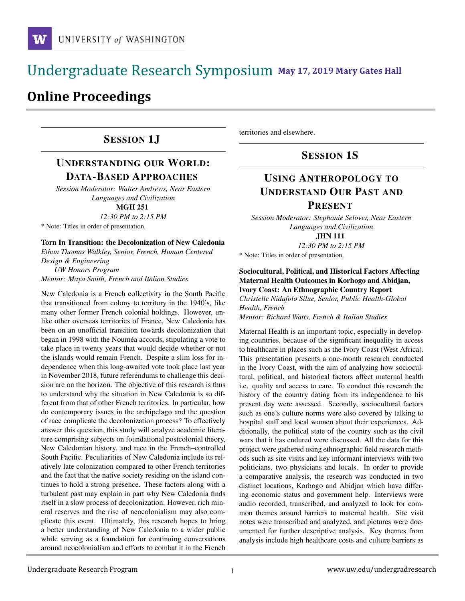# **May 17, 2019 Mary Gates Hall** Ĭ

# **Online Proceedings**

## SESSION 1J

## UNDERSTANDING OUR WORLD: DATA-BASED APPROACHES

*Session Moderator: Walter Andrews, Near Eastern Languages and Civilization*

MGH 251

*12:30 PM to 2:15 PM*

\* Note: Titles in order of presentation.

Torn In Transition: the Decolonization of New Caledonia

*Ethan Thomas Walkley, Senior, French, Human Centered Design & Engineering*

*UW Honors Program Mentor: Maya Smith, French and Italian Studies*

New Caledonia is a French collectivity in the South Pacific that transitioned from colony to territory in the 1940's, like many other former French colonial holdings. However, unlike other overseas territories of France, New Caledonia has been on an unofficial transition towards decolonization that began in 1998 with the Nouméa accords, stipulating a vote to take place in twenty years that would decide whether or not the islands would remain French. Despite a slim loss for independence when this long-awaited vote took place last year in November 2018, future referendums to challenge this decision are on the horizon. The objective of this research is thus to understand why the situation in New Caledonia is so different from that of other French territories. In particular, how do contemporary issues in the archipelago and the question of race complicate the decolonization process? To effectively answer this question, this study will analyze academic literature comprising subjects on foundational postcolonial theory, New Caledonian history, and race in the French–controlled South Pacific. Peculiarities of New Caledonia include its relatively late colonization compared to other French territories and the fact that the native society residing on the island continues to hold a strong presence. These factors along with a turbulent past may explain in part why New Caledonia finds itself in a slow process of decolonization. However, rich mineral reserves and the rise of neocolonialism may also complicate this event. Ultimately, this research hopes to bring a better understanding of New Caledonia to a wider public while serving as a foundation for continuing conversations around neocolonialism and efforts to combat it in the French territories and elsewhere.

#### SESSION 1S

## USING ANTHROPOLOGY TO UNDERSTAND OUR PAST AND PRESENT

*Session Moderator: Stephanie Selover, Near Eastern Languages and Civilization*

JHN 111

*12:30 PM to 2:15 PM*

\* Note: Titles in order of presentation.

#### Sociocultural, Political, and Historical Factors Affecting Maternal Health Outcomes in Korhogo and Abidjan, Ivory Coast: An Ethnographic Country Report

*Christelle Nidafolo Silue, Senior, Public Health-Global Health, French Mentor: Richard Watts, French & Italian Studies*

Maternal Health is an important topic, especially in developing countries, because of the significant inequality in access to healthcare in places such as the Ivory Coast (West Africa). This presentation presents a one-month research conducted in the Ivory Coast, with the aim of analyzing how sociocultural, political, and historical factors affect maternal health i.e. quality and access to care. To conduct this research the history of the country dating from its independence to his present day were assessed. Secondly, sociocultural factors such as one's culture norms were also covered by talking to hospital staff and local women about their experiences. Additionally, the political state of the country such as the civil wars that it has endured were discussed. All the data for this project were gathered using ethnographic field research methods such as site visits and key informant interviews with two politicians, two physicians and locals. In order to provide a comparative analysis, the research was conducted in two distinct locations, Korhogo and Abidjan which have differing economic status and government help. Interviews were audio recorded, transcribed, and analyzed to look for common themes around barriers to maternal health. Site visit notes were transcribed and analyzed, and pictures were documented for further descriptive analysis. Key themes from analysis include high healthcare costs and culture barriers as